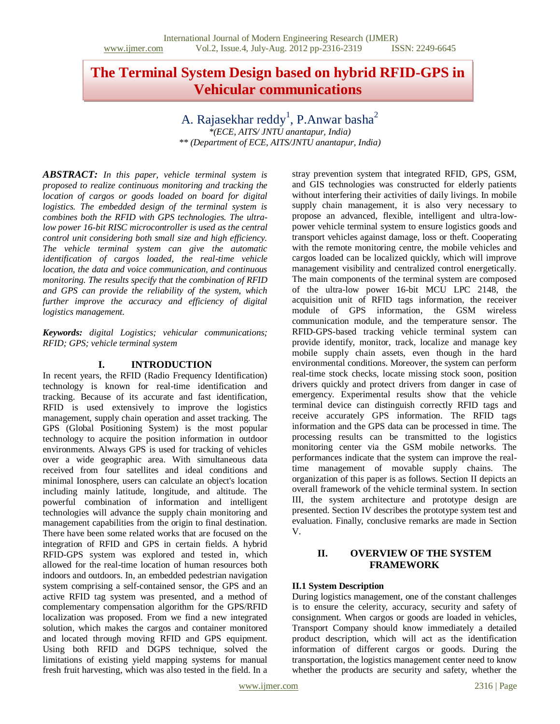# **The Terminal System Design based on hybrid RFID-GPS in Vehicular communications**

A. Rajasekhar reddy<sup>1</sup>, P.Anwar basha<sup>2</sup> *\*(ECE, AITS/ JNTU anantapur, India) \*\* (Department of ECE, AITS/JNTU anantapur, India)*

*ABSTRACT: In this paper, vehicle terminal system is proposed to realize continuous monitoring and tracking the location of cargos or goods loaded on board for digital logistics. The embedded design of the terminal system is combines both the RFID with GPS technologies. The ultralow power 16-bit RISC microcontroller is used as the central control unit considering both small size and high efficiency. The vehicle terminal system can give the automatic identification of cargos loaded, the real-time vehicle location, the data and voice communication, and continuous monitoring. The results specify that the combination of RFID and GPS can provide the reliability of the system, which further improve the accuracy and efficiency of digital logistics management.*

*Keywords: digital Logistics; vehicular communications; RFID; GPS; vehicle terminal system*

## **I. INTRODUCTION**

In recent years, the RFID (Radio Frequency Identification) technology is known for real-time identification and tracking. Because of its accurate and fast identification, RFID is used extensively to improve the logistics management, supply chain operation and asset tracking. The GPS (Global Positioning System) is the most popular technology to acquire the position information in outdoor environments. Always GPS is used for tracking of vehicles over a wide geographic area. With simultaneous data received from four satellites and ideal conditions and minimal Ionosphere, users can calculate an object's location including mainly latitude, longitude, and altitude. The powerful combination of information and intelligent technologies will advance the supply chain monitoring and management capabilities from the origin to final destination. There have been some related works that are focused on the integration of RFID and GPS in certain fields. A hybrid RFID-GPS system was explored and tested in, which allowed for the real-time location of human resources both indoors and outdoors. In, an embedded pedestrian navigation system comprising a self-contained sensor, the GPS and an active RFID tag system was presented, and a method of complementary compensation algorithm for the GPS/RFID localization was proposed. From we find a new integrated solution, which makes the cargos and container monitored and located through moving RFID and GPS equipment. Using both RFID and DGPS technique, solved the limitations of existing yield mapping systems for manual fresh fruit harvesting, which was also tested in the field. In a stray prevention system that integrated RFID, GPS, GSM, and GIS technologies was constructed for elderly patients without interfering their activities of daily livings. In mobile supply chain management, it is also very necessary to propose an advanced, flexible, intelligent and ultra-lowpower vehicle terminal system to ensure logistics goods and transport vehicles against damage, loss or theft. Cooperating with the remote monitoring centre, the mobile vehicles and cargos loaded can be localized quickly, which will improve management visibility and centralized control energetically. The main components of the terminal system are composed of the ultra-low power 16-bit MCU LPC 2148, the acquisition unit of RFID tags information, the receiver module of GPS information, the GSM wireless communication module, and the temperature sensor. The RFID-GPS-based tracking vehicle terminal system can provide identify, monitor, track, localize and manage key mobile supply chain assets, even though in the hard environmental conditions. Moreover, the system can perform real-time stock checks, locate missing stock soon, position drivers quickly and protect drivers from danger in case of emergency. Experimental results show that the vehicle terminal device can distinguish correctly RFID tags and receive accurately GPS information. The RFID tags information and the GPS data can be processed in time. The processing results can be transmitted to the logistics monitoring center via the GSM mobile networks. The performances indicate that the system can improve the realtime management of movable supply chains. The organization of this paper is as follows. Section II depicts an overall framework of the vehicle terminal system. In section III, the system architecture and prototype design are presented. Section IV describes the prototype system test and evaluation. Finally, conclusive remarks are made in Section V.

## **II. OVERVIEW OF THE SYSTEM FRAMEWORK**

#### **II.1 System Description**

During logistics management, one of the constant challenges is to ensure the celerity, accuracy, security and safety of consignment. When cargos or goods are loaded in vehicles, Transport Company should know immediately a detailed product description, which will act as the identification information of different cargos or goods. During the transportation, the logistics management center need to know whether the products are security and safety, whether the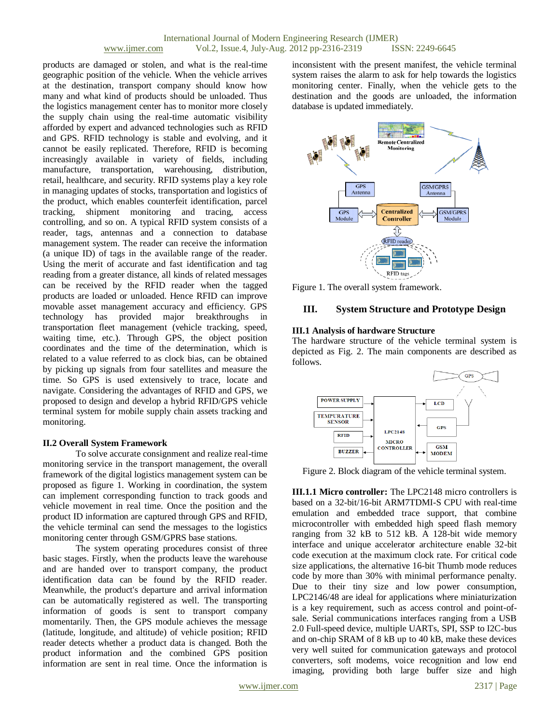products are damaged or stolen, and what is the real-time geographic position of the vehicle. When the vehicle arrives at the destination, transport company should know how many and what kind of products should be unloaded. Thus the logistics management center has to monitor more closely the supply chain using the real-time automatic visibility afforded by expert and advanced technologies such as RFID and GPS. RFID technology is stable and evolving, and it cannot be easily replicated. Therefore, RFID is becoming increasingly available in variety of fields, including manufacture, transportation, warehousing, distribution, retail, healthcare, and security. RFID systems play a key role in managing updates of stocks, transportation and logistics of the product, which enables counterfeit identification, parcel tracking, shipment monitoring and tracing, access controlling, and so on. A typical RFID system consists of a reader, tags, antennas and a connection to database management system. The reader can receive the information (a unique ID) of tags in the available range of the reader. Using the merit of accurate and fast identification and tag reading from a greater distance, all kinds of related messages can be received by the RFID reader when the tagged products are loaded or unloaded. Hence RFID can improve movable asset management accuracy and efficiency. GPS technology has provided major breakthroughs in transportation fleet management (vehicle tracking, speed, waiting time, etc.). Through GPS, the object position coordinates and the time of the determination, which is related to a value referred to as clock bias, can be obtained by picking up signals from four satellites and measure the time. So GPS is used extensively to trace, locate and navigate. Considering the advantages of RFID and GPS, we proposed to design and develop a hybrid RFID/GPS vehicle terminal system for mobile supply chain assets tracking and monitoring.

#### **II.2 Overall System Framework**

To solve accurate consignment and realize real-time monitoring service in the transport management, the overall framework of the digital logistics management system can be proposed as figure 1. Working in coordination, the system can implement corresponding function to track goods and vehicle movement in real time. Once the position and the product ID information are captured through GPS and RFID, the vehicle terminal can send the messages to the logistics monitoring center through GSM/GPRS base stations.

The system operating procedures consist of three basic stages. Firstly, when the products leave the warehouse and are handed over to transport company, the product identification data can be found by the RFID reader. Meanwhile, the product's departure and arrival information can be automatically registered as well. The transporting information of goods is sent to transport company momentarily. Then, the GPS module achieves the message (latitude, longitude, and altitude) of vehicle position; RFID reader detects whether a product data is changed. Both the product information and the combined GPS position information are sent in real time. Once the information is

inconsistent with the present manifest, the vehicle terminal system raises the alarm to ask for help towards the logistics monitoring center. Finally, when the vehicle gets to the destination and the goods are unloaded, the information database is updated immediately.



Figure 1. The overall system framework.

## **III. System Structure and Prototype Design**

## **III.1 Analysis of hardware Structure**

The hardware structure of the vehicle terminal system is depicted as Fig. 2. The main components are described as follows.



Figure 2. Block diagram of the vehicle terminal system.

**III.1.1 Micro controller:** The LPC2148 micro controllers is based on a 32-bit/16-bit ARM7TDMI-S CPU with real-time emulation and embedded trace support, that combine microcontroller with embedded high speed flash memory ranging from 32 kB to 512 kB. A 128-bit wide memory interface and unique accelerator architecture enable 32-bit code execution at the maximum clock rate. For critical code size applications, the alternative 16-bit Thumb mode reduces code by more than 30% with minimal performance penalty. Due to their tiny size and low power consumption, LPC2146/48 are ideal for applications where miniaturization is a key requirement, such as access control and point-ofsale. Serial communications interfaces ranging from a USB 2.0 Full-speed device, multiple UARTs, SPI, SSP to I2C-bus and on-chip SRAM of 8 kB up to 40 kB, make these devices very well suited for communication gateways and protocol converters, soft modems, voice recognition and low end imaging, providing both large buffer size and high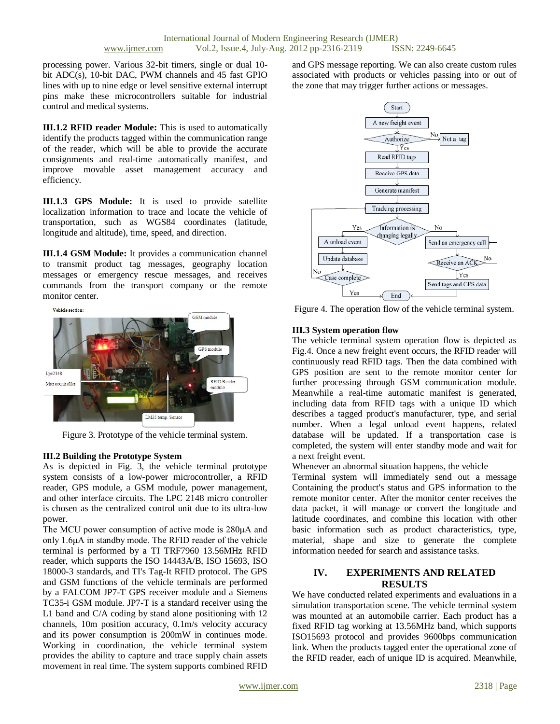processing power. Various 32-bit timers, single or dual 10 bit ADC(s), 10-bit DAC, PWM channels and 45 fast GPIO lines with up to nine edge or level sensitive external interrupt pins make these microcontrollers suitable for industrial control and medical systems.

**III.1.2 RFID reader Module:** This is used to automatically identify the products tagged within the communication range of the reader, which will be able to provide the accurate consignments and real-time automatically manifest, and improve movable asset management accuracy and efficiency.

**III.1.3 GPS Module:** It is used to provide satellite localization information to trace and locate the vehicle of transportation, such as WGS84 coordinates (latitude, longitude and altitude), time, speed, and direction.

**III.1.4 GSM Module:** It provides a communication channel to transmit product tag messages, geography location messages or emergency rescue messages, and receives commands from the transport company or the remote monitor center.



Figure 3. Prototype of the vehicle terminal system.

#### **III.2 Building the Prototype System**

As is depicted in Fig. 3, the vehicle terminal prototype system consists of a low-power microcontroller, a RFID reader, GPS module, a GSM module, power management, and other interface circuits. The LPC 2148 micro controller is chosen as the centralized control unit due to its ultra-low power.

The MCU power consumption of active mode is 280μA and only 1.6μA in standby mode. The RFID reader of the vehicle terminal is performed by a TI TRF7960 13.56MHz RFID reader, which supports the ISO 14443A/B, ISO 15693, ISO 18000-3 standards, and TI's Tag-It RFID protocol. The GPS and GSM functions of the vehicle terminals are performed by a FALCOM JP7-T GPS receiver module and a Siemens TC35-i GSM module. JP7-T is a standard receiver using the L1 band and C/A coding by stand alone positioning with 12 channels, 10m position accuracy, 0.1m/s velocity accuracy and its power consumption is 200mW in continues mode. Working in coordination, the vehicle terminal system provides the ability to capture and trace supply chain assets movement in real time. The system supports combined RFID and GPS message reporting. We can also create custom rules associated with products or vehicles passing into or out of the zone that may trigger further actions or messages.



Figure 4. The operation flow of the vehicle terminal system.

#### **III.3 System operation flow**

The vehicle terminal system operation flow is depicted as Fig.4. Once a new freight event occurs, the RFID reader will continuously read RFID tags. Then the data combined with GPS position are sent to the remote monitor center for further processing through GSM communication module. Meanwhile a real-time automatic manifest is generated, including data from RFID tags with a unique ID which describes a tagged product's manufacturer, type, and serial number. When a legal unload event happens, related database will be updated. If a transportation case is completed, the system will enter standby mode and wait for a next freight event.

Whenever an abnormal situation happens, the vehicle

Terminal system will immediately send out a message Containing the product's status and GPS information to the remote monitor center. After the monitor center receives the data packet, it will manage or convert the longitude and latitude coordinates, and combine this location with other basic information such as product characteristics, type, material, shape and size to generate the complete information needed for search and assistance tasks.

#### **IV. EXPERIMENTS AND RELATED RESULTS**

We have conducted related experiments and evaluations in a simulation transportation scene. The vehicle terminal system was mounted at an automobile carrier. Each product has a fixed RFID tag working at 13.56MHz band, which supports ISO15693 protocol and provides 9600bps communication link. When the products tagged enter the operational zone of the RFID reader, each of unique ID is acquired. Meanwhile,